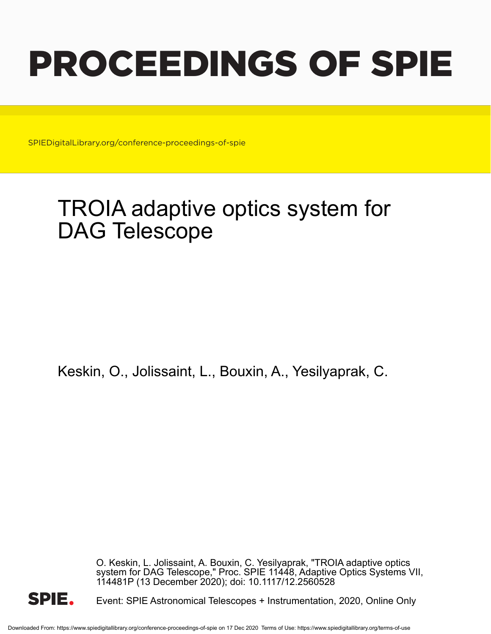# PROCEEDINGS OF SPIE

SPIEDigitalLibrary.org/conference-proceedings-of-spie

# TROIA adaptive optics system for DAG Telescope

Keskin, O., Jolissaint, L., Bouxin, A., Yesilyaprak, C.

O. Keskin, L. Jolissaint, A. Bouxin, C. Yesilyaprak, "TROIA adaptive optics system for DAG Telescope," Proc. SPIE 11448, Adaptive Optics Systems VII, 114481P (13 December 2020); doi: 10.1117/12.2560528



Event: SPIE Astronomical Telescopes + Instrumentation, 2020, Online Only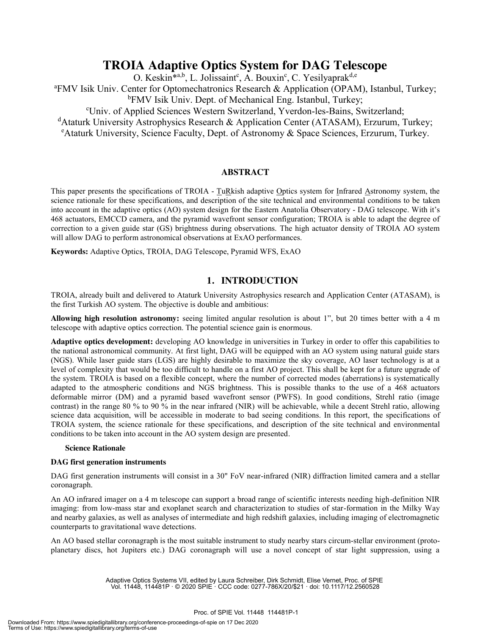# **TROIA Adaptive Optics System for DAG Telescope**

O. Keskin<sup>\*a,b</sup>, L. Jolissaint<sup>c</sup>, A. Bouxin<sup>c</sup>, C. Yesilyaprak<sup>d,e</sup>

<sup>a</sup> FMV Isik Univ. Center for Optomechatronics Research & Application (OPAM), Istanbul, Turkey;

<sup>b</sup>FMV Isik Univ. Dept. of Mechanical Eng. Istanbul, Turkey; Univ. of Applied Sciences Western Switzerland, Yverdon-les-Bains, Switzerland;

<sup>d</sup>Ataturk University Astrophysics Research & Application Center (ATASAM), Erzurum, Turkey;

<sup>e</sup> Ataturk University, Science Faculty, Dept. of Astronomy & Space Sciences, Erzurum, Turkey.

# **ABSTRACT**

This paper presents the specifications of TROIA - TuRkish adaptive Optics system for Infrared Astronomy system, the science rationale for these specifications, and description of the site technical and environmental conditions to be taken into account in the adaptive optics (AO) system design for the Eastern Anatolia Observatory - DAG telescope. With it's 468 actuators, EMCCD camera, and the pyramid wavefront sensor configuration; TROIA is able to adapt the degree of correction to a given guide star (GS) brightness during observations. The high actuator density of TROIA AO system will allow DAG to perform astronomical observations at ExAO performances.

**Keywords:** Adaptive Optics, TROIA, DAG Telescope, Pyramid WFS, ExAO

# **1. INTRODUCTION**

TROIA, already built and delivered to Ataturk University Astrophysics research and Application Center (ATASAM), is the first Turkish AO system. The objective is double and ambitious:

**Allowing high resolution astronomy:** seeing limited angular resolution is about 1", but 20 times better with a 4 m telescope with adaptive optics correction. The potential science gain is enormous.

**Adaptive optics development:** developing AO knowledge in universities in Turkey in order to offer this capabilities to the national astronomical community. At first light, DAG will be equipped with an AO system using natural guide stars (NGS). While laser guide stars (LGS) are highly desirable to maximize the sky coverage, AO laser technology is at a level of complexity that would be too difficult to handle on a first AO project. This shall be kept for a future upgrade of the system. TROIA is based on a flexible concept, where the number of corrected modes (aberrations) is systematically adapted to the atmospheric conditions and NGS brightness. This is possible thanks to the use of a 468 actuators deformable mirror (DM) and a pyramid based wavefront sensor (PWFS). In good conditions, Strehl ratio (image contrast) in the range 80 % to 90 % in the near infrared (NIR) will be achievable, while a decent Strehl ratio, allowing science data acquisition, will be accessible in moderate to bad seeing conditions. In this report, the specifications of TROIA system, the science rationale for these specifications, and description of the site technical and environmental conditions to be taken into account in the AO system design are presented.

#### **Science Rationale**

#### **DAG first generation instruments**

DAG first generation instruments will consist in a 30" FoV near-infrared (NIR) diffraction limited camera and a stellar coronagraph.

An AO infrared imager on a 4 m telescope can support a broad range of scientific interests needing high-definition NIR imaging: from low-mass star and exoplanet search and characterization to studies of star-formation in the Milky Way and nearby galaxies, as well as analyses of intermediate and high redshift galaxies, including imaging of electromagnetic counterparts to gravitational wave detections.

An AO based stellar coronagraph is the most suitable instrument to study nearby stars circum-stellar environment (protoplanetary discs, hot Jupiters etc.) DAG coronagraph will use a novel concept of star light suppression, using a

> Adaptive Optics Systems VII, edited by Laura Schreiber, Dirk Schmidt, Elise Vernet, Proc. of SPIE Vol. 11448, 114481P · © 2020 SPIE · CCC code: 0277-786X/20/\$21 · doi: 10.1117/12.2560528

#### Proc. of SPIE Vol. 11448 114481P-1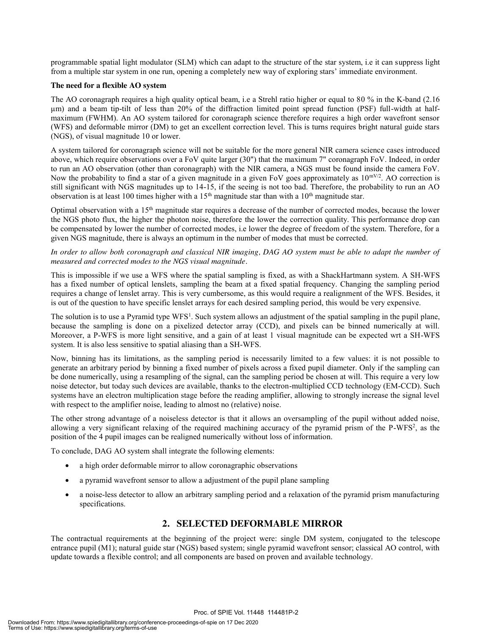programmable spatial light modulator (SLM) which can adapt to the structure of the star system, i.e it can suppress light from a multiple star system in one run, opening a completely new way of exploring stars' immediate environment.

#### **The need for a flexible AO system**

The AO coronagraph requires a high quality optical beam, i.e a Strehl ratio higher or equal to 80 % in the K-band (2.16 µm) and a beam tip-tilt of less than 20% of the diffraction limited point spread function (PSF) full-width at halfmaximum (FWHM). An AO system tailored for coronagraph science therefore requires a high order wavefront sensor (WFS) and deformable mirror (DM) to get an excellent correction level. This is turns requires bright natural guide stars (NGS), of visual magnitude 10 or lower.

A system tailored for coronagraph science will not be suitable for the more general NIR camera science cases introduced above, which require observations over a FoV quite larger (30") that the maximum 7" coronagraph FoV. Indeed, in order to run an AO observation (other than coronagraph) with the NIR camera, a NGS must be found inside the camera FoV. Now the probability to find a star of a given magnitude in a given FoV goes approximately as  $10^{mV/2}$ . AO correction is still significant with NGS magnitudes up to 14-15, if the seeing is not too bad. Therefore, the probability to run an AO observation is at least 100 times higher with a 15<sup>th</sup> magnitude star than with a 10<sup>th</sup> magnitude star.

Optimal observation with a 15th magnitude star requires a decrease of the number of corrected modes, because the lower the NGS photo flux, the higher the photon noise, therefore the lower the correction quality. This performance drop can be compensated by lower the number of corrected modes, i.e lower the degree of freedom of the system. Therefore, for a given NGS magnitude, there is always an optimum in the number of modes that must be corrected.

*In order to allow both coronagraph and classical NIR imaging, DAG AO system must be able to adapt the number of measured and corrected modes to the NGS visual magnitude.*

This is impossible if we use a WFS where the spatial sampling is fixed, as with a ShackHartmann system. A SH-WFS has a fixed number of optical lenslets, sampling the beam at a fixed spatial frequency. Changing the sampling period requires a change of lenslet array. This is very cumbersome, as this would require a realignment of the WFS. Besides, it is out of the question to have specific lenslet arrays for each desired sampling period, this would be very expensive.

The solution is to use a Pyramid type WFS<sup>1</sup>. Such system allows an adjustment of the spatial sampling in the pupil plane, because the sampling is done on a pixelized detector array (CCD), and pixels can be binned numerically at will. Moreover, a P-WFS is more light sensitive, and a gain of at least 1 visual magnitude can be expected wrt a SH-WFS system. It is also less sensitive to spatial aliasing than a SH-WFS.

Now, binning has its limitations, as the sampling period is necessarily limited to a few values: it is not possible to generate an arbitrary period by binning a fixed number of pixels across a fixed pupil diameter. Only if the sampling can be done numerically, using a resampling of the signal, can the sampling period be chosen at will. This require a very low noise detector, but today such devices are available, thanks to the electron-multiplied CCD technology (EM-CCD). Such systems have an electron multiplication stage before the reading amplifier, allowing to strongly increase the signal level with respect to the amplifier noise, leading to almost no (relative) noise.

The other strong advantage of a noiseless detector is that it allows an oversampling of the pupil without added noise, allowing a very significant relaxing of the required machining accuracy of the pyramid prism of the  $P-WFS^2$ , as the position of the 4 pupil images can be realigned numerically without loss of information.

To conclude, DAG AO system shall integrate the following elements:

- a high order deformable mirror to allow coronagraphic observations
- a pyramid wavefront sensor to allow a adjustment of the pupil plane sampling
- a noise-less detector to allow an arbitrary sampling period and a relaxation of the pyramid prism manufacturing specifications.

# **2. SELECTED DEFORMABLE MIRROR**

The contractual requirements at the beginning of the project were: single DM system, conjugated to the telescope entrance pupil (M1); natural guide star (NGS) based system; single pyramid wavefront sensor; classical AO control, with update towards a flexible control; and all components are based on proven and available technology.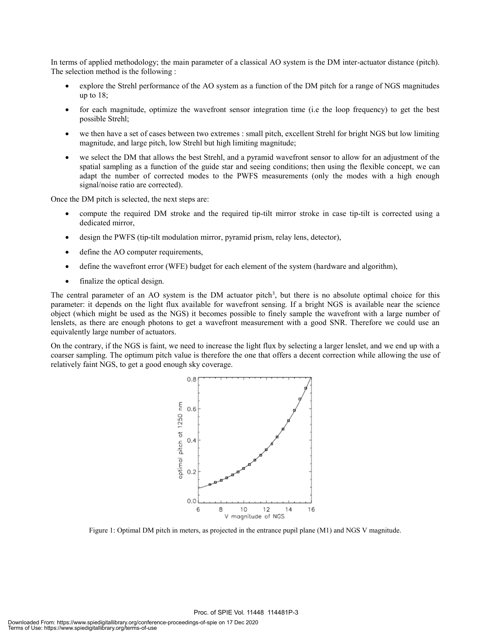In terms of applied methodology; the main parameter of a classical AO system is the DM inter-actuator distance (pitch). The selection method is the following :

- x explore the Strehl performance of the AO system as a function of the DM pitch for a range of NGS magnitudes up to 18;
- for each magnitude, optimize the wavefront sensor integration time (i.e the loop frequency) to get the best possible Strehl;
- we then have a set of cases between two extremes : small pitch, excellent Strehl for bright NGS but low limiting magnitude, and large pitch, low Strehl but high limiting magnitude;
- we select the DM that allows the best Strehl, and a pyramid wavefront sensor to allow for an adjustment of the spatial sampling as a function of the guide star and seeing conditions; then using the flexible concept, we can adapt the number of corrected modes to the PWFS measurements (only the modes with a high enough signal/noise ratio are corrected).

Once the DM pitch is selected, the next steps are:

- compute the required DM stroke and the required tip-tilt mirror stroke in case tip-tilt is corrected using a dedicated mirror,
- design the PWFS (tip-tilt modulation mirror, pyramid prism, relay lens, detector),
- define the AO computer requirements,
- define the wavefront error (WFE) budget for each element of the system (hardware and algorithm),
- finalize the optical design.

The central parameter of an AO system is the DM actuator pitch<sup>3</sup>, but there is no absolute optimal choice for this parameter: it depends on the light flux available for wavefront sensing. If a bright NGS is available near the science object (which might be used as the NGS) it becomes possible to finely sample the wavefront with a large number of lenslets, as there are enough photons to get a wavefront measurement with a good SNR. Therefore we could use an equivalently large number of actuators.

On the contrary, if the NGS is faint, we need to increase the light flux by selecting a larger lenslet, and we end up with a coarser sampling. The optimum pitch value is therefore the one that offers a decent correction while allowing the use of relatively faint NGS, to get a good enough sky coverage.



Figure 1: Optimal DM pitch in meters, as projected in the entrance pupil plane (M1) and NGS V magnitude.

Proc. of SPIE Vol. 11448 114481P-3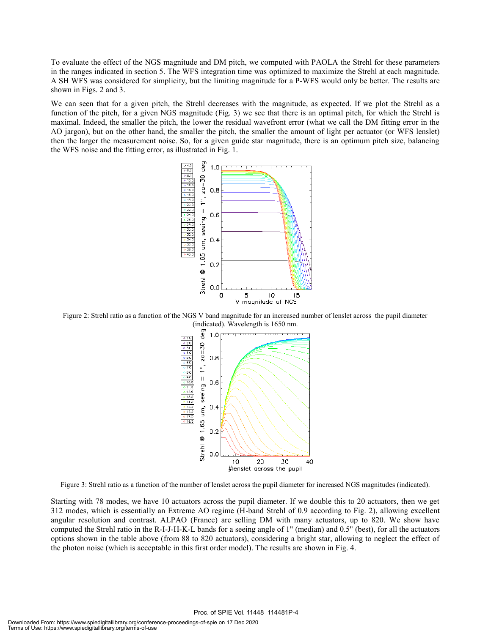To evaluate the effect of the NGS magnitude and DM pitch, we computed with PAOLA the Strehl for these parameters in the ranges indicated in section 5. The WFS integration time was optimized to maximize the Strehl at each magnitude. A SH WFS was considered for simplicity, but the limiting magnitude for a P-WFS would only be better. The results are shown in Figs. 2 and 3.

We can seen that for a given pitch, the Strehl decreases with the magnitude, as expected. If we plot the Strehl as a function of the pitch, for a given NGS magnitude (Fig. 3) we see that there is an optimal pitch, for which the Strehl is maximal. Indeed, the smaller the pitch, the lower the residual wavefront error (what we call the DM fitting error in the AO jargon), but on the other hand, the smaller the pitch, the smaller the amount of light per actuator (or WFS lenslet) then the larger the measurement noise. So, for a given guide star magnitude, there is an optimum pitch size, balancing the WFS noise and the fitting error, as illustrated in Fig. 1.



Figure 2: Strehl ratio as a function of the NGS V band magnitude for an increased number of lenslet across the pupil diameter (indicated). Wavelength is 1650 nm.



Figure 3: Strehl ratio as a function of the number of lenslet across the pupil diameter for increased NGS magnitudes (indicated).

Starting with 78 modes, we have 10 actuators across the pupil diameter. If we double this to 20 actuators, then we get 312 modes, which is essentially an Extreme AO regime (H-band Strehl of 0.9 according to Fig. 2), allowing excellent angular resolution and contrast. ALPAO (France) are selling DM with many actuators, up to 820. We show have computed the Strehl ratio in the R-I-J-H-K-L bands for a seeing angle of 1" (median) and 0.5" (best), for all the actuators options shown in the table above (from 88 to 820 actuators), considering a bright star, allowing to neglect the effect of the photon noise (which is acceptable in this first order model). The results are shown in Fig. 4.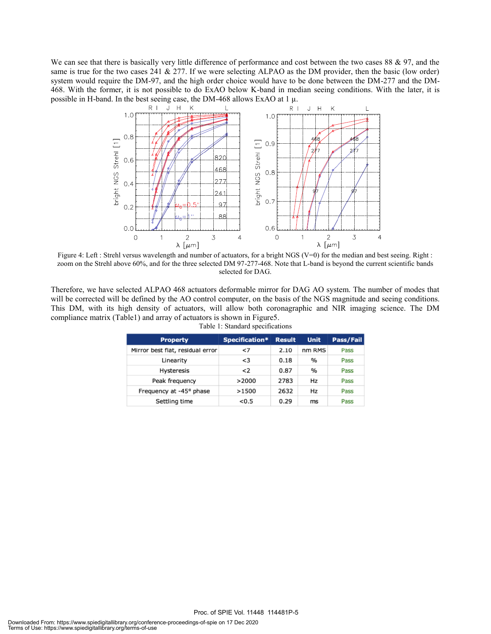We can see that there is basically very little difference of performance and cost between the two cases 88 & 97, and the same is true for the two cases 241  $\&$  277. If we were selecting ALPAO as the DM provider, then the basic (low order) system would require the DM-97, and the high order choice would have to be done between the DM-277 and the DM-468. With the former, it is not possible to do ExAO below K-band in median seeing conditions. With the later, it is possible in H-band. In the best seeing case, the DM-468 allows ExAO at 1  $\mu$ .



Figure 4: Left : Strehl versus wavelength and number of actuators, for a bright NGS (V=0) for the median and best seeing. Right : zoom on the Strehl above 60%, and for the three selected DM 97-277-468. Note that L-band is beyond the current scientific bands selected for DAG.

Therefore, we have selected ALPAO 468 actuators deformable mirror for DAG AO system. The number of modes that will be corrected will be defined by the AO control computer, on the basis of the NGS magnitude and seeing conditions. This DM, with its high density of actuators, will allow both coronagraphic and NIR imaging science. The DM compliance matrix (Table1) and array of actuators is shown in Figure5.

| <b>Property</b>                  | Specification* | <b>Result</b> | <b>Unit</b> | Pass/Fail |
|----------------------------------|----------------|---------------|-------------|-----------|
| Mirror best flat, residual error | $\leq$         | 2.10          | nm RMS      | Pass      |
| Linearity                        | < 3            | 0.18          | %           | Pass      |
| <b>Hysteresis</b>                | $\leq$         | 0.87          | %           | Pass      |
| Peak frequency                   | >2000          | 2783          | Hz          | Pass      |
| Frequency at -45° phase          | >1500          | 2632          | Hz          | Pass      |
| Settling time                    | < 0.5          | 0.29          | ms          | Pass      |

Table 1: Standard specifications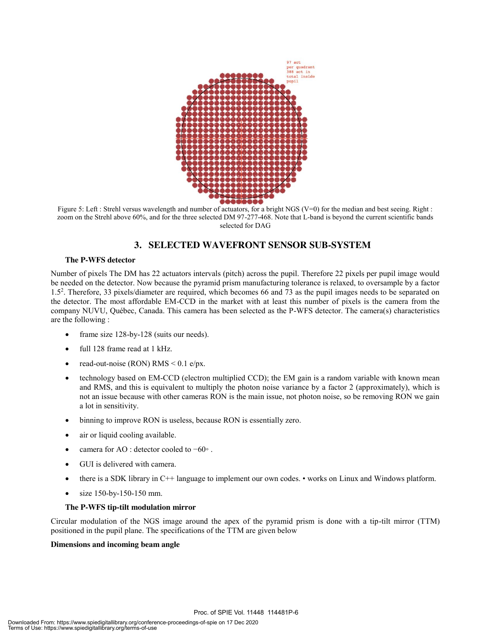

Figure 5: Left : Strehl versus wavelength and number of actuators, for a bright NGS (V=0) for the median and best seeing. Right : zoom on the Strehl above 60%, and for the three selected DM 97-277-468. Note that L-band is beyond the current scientific bands selected for DAG

# **3. SELECTED WAVEFRONT SENSOR SUB-SYSTEM**

#### **The P-WFS detector**

Number of pixels The DM has 22 actuators intervals (pitch) across the pupil. Therefore 22 pixels per pupil image would be needed on the detector. Now because the pyramid prism manufacturing tolerance is relaxed, to oversample by a factor 1.52 . Therefore, 33 pixels/diameter are required, which becomes 66 and 73 as the pupil images needs to be separated on the detector. The most affordable EM-CCD in the market with at least this number of pixels is the camera from the company NUVU, Québec, Canada. This camera has been selected as the P-WFS detector. The camera(s) characteristics are the following :

- frame size 128-by-128 (suits our needs).
- full 128 frame read at 1 kHz.
- read-out-noise (RON)  $RMS < 0.1$  e/px.
- technology based on EM-CCD (electron multiplied CCD); the EM gain is a random variable with known mean and RMS, and this is equivalent to multiply the photon noise variance by a factor 2 (approximately), which is not an issue because with other cameras RON is the main issue, not photon noise, so be removing RON we gain a lot in sensitivity.
- binning to improve RON is useless, because RON is essentially zero.
- air or liquid cooling available.
- camera for AO : detector cooled to −60∘.
- GUI is delivered with camera.
- there is a SDK library in C++ language to implement our own codes. works on Linux and Windows platform.
- size 150-by-150-150 mm.

#### **The P-WFS tip-tilt modulation mirror**

Circular modulation of the NGS image around the apex of the pyramid prism is done with a tip-tilt mirror (TTM) positioned in the pupil plane. The specifications of the TTM are given below

#### **Dimensions and incoming beam angle**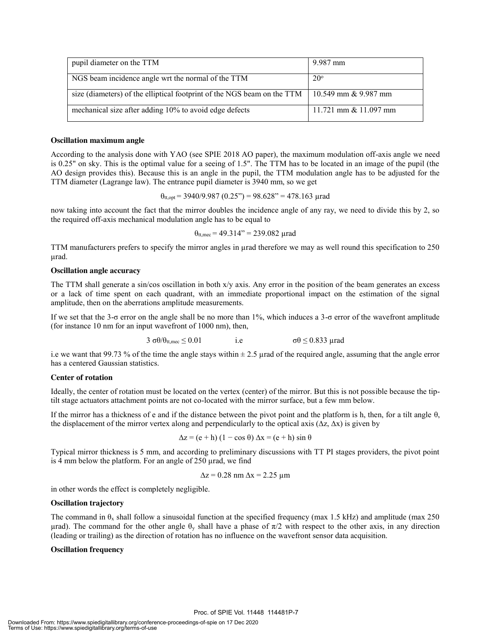| pupil diameter on the TTM                                                                           | 9.987 mm                |
|-----------------------------------------------------------------------------------------------------|-------------------------|
| NGS beam incidence angle wrt the normal of the TTM                                                  | $20^{\circ}$            |
| size (diameters) of the elliptical footprint of the NGS beam on the TTM $\mid$ 10.549 mm & 9.987 mm |                         |
| mechanical size after adding 10% to avoid edge defects                                              | 11.721 mm $& 11.097$ mm |

#### **Oscillation maximum angle**

According to the analysis done with YAO (see SPIE 2018 AO paper), the maximum modulation off-axis angle we need is 0.25" on sky. This is the optimal value for a seeing of 1.5". The TTM has to be located in an image of the pupil (the AO design provides this). Because this is an angle in the pupil, the TTM modulation angle has to be adjusted for the TTM diameter (Lagrange law). The entrance pupil diameter is 3940 mm, so we get

 $\theta_{tt, \text{opt}} = 3940/9.987 (0.25) = 98.628 = 478.163 \text{ grad}$ 

now taking into account the fact that the mirror doubles the incidence angle of any ray, we need to divide this by 2, so the required off-axis mechanical modulation angle has to be equal to

$$
\theta_{tt, \text{mec}} = 49.314
$$
" = 239.082  $\mu$ rad

TTM manufacturers prefers to specify the mirror angles in µrad therefore we may as well round this specification to 250 µrad.

#### **Oscillation angle accuracy**

The TTM shall generate a sin/cos oscillation in both  $x/y$  axis. Any error in the position of the beam generates an excess or a lack of time spent on each quadrant, with an immediate proportional impact on the estimation of the signal amplitude, then on the aberrations amplitude measurements.

If we set that the 3-σ error on the angle shall be no more than 1%, which induces a 3-σ error of the wavefront amplitude (for instance 10 nm for an input wavefront of 1000 nm), then,

$$
3 \sigma \theta / \theta_{t t, \text{mec}} \leq 0.01
$$
 i.e  $\sigma \theta \leq 0.833$   $\mu$  rad

i.e we want that 99.73 % of the time the angle stays within  $\pm$  2.5 µrad of the required angle, assuming that the angle error has a centered Gaussian statistics.

#### **Center of rotation**

Ideally, the center of rotation must be located on the vertex (center) of the mirror. But this is not possible because the tiptilt stage actuators attachment points are not co-located with the mirror surface, but a few mm below.

If the mirror has a thickness of e and if the distance between the pivot point and the platform is h, then, for a tilt angle  $\theta$ , the displacement of the mirror vertex along and perpendicularly to the optical axis ( $\Delta z$ ,  $\Delta x$ ) is given by

$$
\Delta z = (e + h) (1 - \cos \theta) \Delta x = (e + h) \sin \theta
$$

Typical mirror thickness is 5 mm, and according to preliminary discussions with TT PI stages providers, the pivot point is 4 mm below the platform. For an angle of 250 µrad, we find

 $\Delta z = 0.28$  nm  $\Delta x = 2.25$  µm

in other words the effect is completely negligible.

#### **Oscillation trajectory**

The command in  $\theta_x$  shall follow a sinusoidal function at the specified frequency (max 1.5 kHz) and amplitude (max 250 μrad). The command for the other angle  $θ<sub>y</sub>$  shall have a phase of  $π/2$  with respect to the other axis, in any direction (leading or trailing) as the direction of rotation has no influence on the wavefront sensor data acquisition.

#### **Oscillation frequency**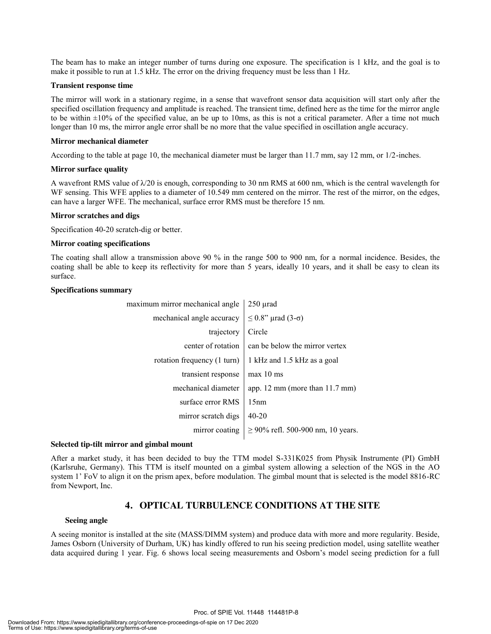The beam has to make an integer number of turns during one exposure. The specification is 1 kHz, and the goal is to make it possible to run at 1.5 kHz. The error on the driving frequency must be less than 1 Hz.

#### **Transient response time**

The mirror will work in a stationary regime, in a sense that wavefront sensor data acquisition will start only after the specified oscillation frequency and amplitude is reached. The transient time, defined here as the time for the mirror angle to be within  $\pm 10\%$  of the specified value, an be up to 10ms, as this is not a critical parameter. After a time not much longer than 10 ms, the mirror angle error shall be no more that the value specified in oscillation angle accuracy.

#### **Mirror mechanical diameter**

According to the table at page 10, the mechanical diameter must be larger than 11.7 mm, say 12 mm, or 1/2-inches.

#### **Mirror surface quality**

A wavefront RMS value of  $\lambda/20$  is enough, corresponding to 30 nm RMS at 600 nm, which is the central wavelength for WF sensing. This WFE applies to a diameter of 10.549 mm centered on the mirror. The rest of the mirror, on the edges, can have a larger WFE. The mechanical, surface error RMS must be therefore 15 nm.

#### **Mirror scratches and digs**

Specification 40-20 scratch-dig or better.

#### **Mirror coating specifications**

The coating shall allow a transmission above 90 % in the range 500 to 900 nm, for a normal incidence. Besides, the coating shall be able to keep its reflectivity for more than 5 years, ideally 10 years, and it shall be easy to clean its surface.

#### **Specifications summary**

| maximum mirror mechanical angle | $250 \mu$ rad                          |
|---------------------------------|----------------------------------------|
| mechanical angle accuracy       | $\leq$ 0.8" µrad (3- $\sigma$ )        |
| trajectory                      | Circle                                 |
| center of rotation              | can be below the mirror vertex         |
| rotation frequency (1 turn)     | 1 kHz and 1.5 kHz as a goal            |
| transient response              | $max 10$ ms                            |
| mechanical diameter             | app. 12 mm (more than $11.7$ mm)       |
| surface error RMS               | 15nm                                   |
| mirror scratch digs             | $40 - 20$                              |
| mirror coating                  | $\geq$ 90% refl. 500-900 nm, 10 years. |
|                                 |                                        |

#### **Selected tip-tilt mirror and gimbal mount**

After a market study, it has been decided to buy the TTM model S-331K025 from Physik Instrumente (PI) GmbH (Karlsruhe, Germany). This TTM is itself mounted on a gimbal system allowing a selection of the NGS in the AO system 1' FoV to align it on the prism apex, before modulation. The gimbal mount that is selected is the model 8816-RC from Newport, Inc.

# **4. OPTICAL TURBULENCE CONDITIONS AT THE SITE**

#### **Seeing angle**

A seeing monitor is installed at the site (MASS/DIMM system) and produce data with more and more regularity. Beside, James Osborn (University of Durham, UK) has kindly offered to run his seeing prediction model, using satellite weather data acquired during 1 year. Fig. 6 shows local seeing measurements and Osborn's model seeing prediction for a full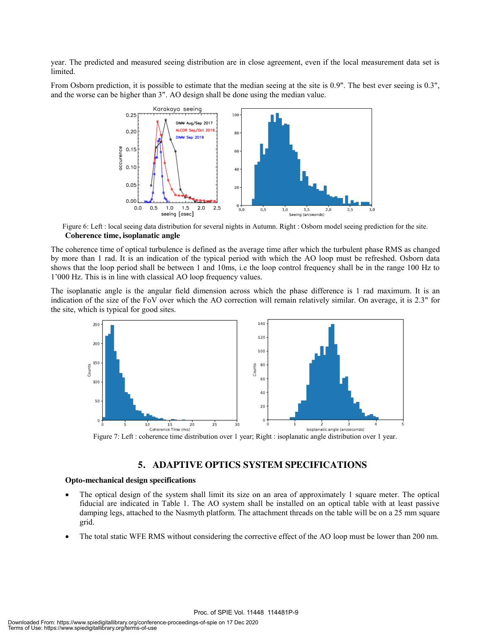year. The predicted and measured seeing distribution are in close agreement, even if the local measurement data set is limited.

From Osborn prediction, it is possible to estimate that the median seeing at the site is 0.9". The best ever seeing is 0.3", and the worse can be higher than 3". AO design shall be done using the median value.



Figure 6: Left : local seeing data distribution for several nights in Autumn. Right : Osborn model seeing prediction for the site. **Coherence time, isoplanatic angle**

The coherence time of optical turbulence is defined as the average time after which the turbulent phase RMS as changed by more than 1 rad. It is an indication of the typical period with which the AO loop must be refreshed. Osborn data shows that the loop period shall be between 1 and 10ms, i.e the loop control frequency shall be in the range 100 Hz to 1'000 Hz. This is in line with classical AO loop frequency values.

The isoplanatic angle is the angular field dimension across which the phase difference is 1 rad maximum. It is an indication of the size of the FoV over which the AO correction will remain relatively similar. On average, it is 2.3" for the site, which is typical for good sites.



Figure 7: Left : coherence time distribution over 1 year; Right : isoplanatic angle distribution over 1 year.

## **5. ADAPTIVE OPTICS SYSTEM SPECIFICATIONS**

#### **Opto-mechanical design specifications**

- The optical design of the system shall limit its size on an area of approximately 1 square meter. The optical fiducial are indicated in Table 1. The AO system shall be installed on an optical table with at least passive damping legs, attached to the Nasmyth platform. The attachment threads on the table will be on a 25 mm square grid.
- The total static WFE RMS without considering the corrective effect of the AO loop must be lower than 200 nm.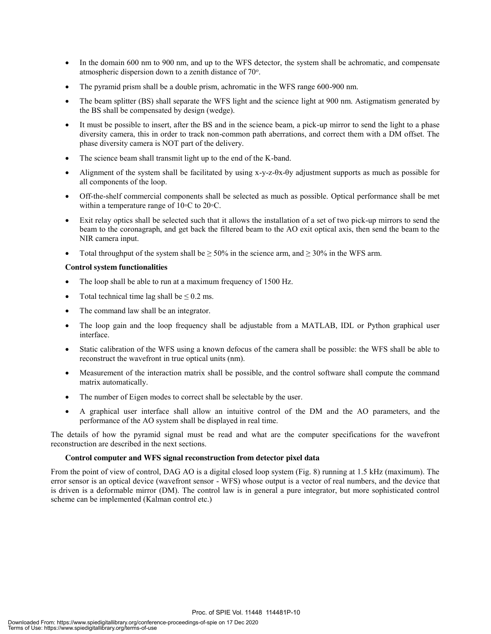- In the domain 600 nm to 900 nm, and up to the WFS detector, the system shall be achromatic, and compensate atmospheric dispersion down to a zenith distance of 70°.
- The pyramid prism shall be a double prism, achromatic in the WFS range 600-900 nm.
- The beam splitter (BS) shall separate the WFS light and the science light at 900 nm. Astigmatism generated by the BS shall be compensated by design (wedge).
- It must be possible to insert, after the BS and in the science beam, a pick-up mirror to send the light to a phase diversity camera, this in order to track non-common path aberrations, and correct them with a DM offset. The phase diversity camera is NOT part of the delivery.
- The science beam shall transmit light up to the end of the K-band.
- x Alignment of the system shall be facilitated by using x-y-z-θx-θy adjustment supports as much as possible for all components of the loop.
- x Off-the-shelf commercial components shall be selected as much as possible. Optical performance shall be met within a temperature range of 10◦C to 20◦C.
- Exit relay optics shall be selected such that it allows the installation of a set of two pick-up mirrors to send the beam to the coronagraph, and get back the filtered beam to the AO exit optical axis, then send the beam to the NIR camera input.
- Total throughput of the system shall be  $\geq$  50% in the science arm, and  $\geq$  30% in the WFS arm.

#### **Control system functionalities**

- The loop shall be able to run at a maximum frequency of 1500 Hz.
- Total technical time lag shall be  $\leq 0.2$  ms.
- The command law shall be an integrator.
- The loop gain and the loop frequency shall be adjustable from a MATLAB, IDL or Python graphical user interface.
- x Static calibration of the WFS using a known defocus of the camera shall be possible: the WFS shall be able to reconstruct the wavefront in true optical units (nm).
- Measurement of the interaction matrix shall be possible, and the control software shall compute the command matrix automatically.
- The number of Eigen modes to correct shall be selectable by the user.
- x A graphical user interface shall allow an intuitive control of the DM and the AO parameters, and the performance of the AO system shall be displayed in real time.

The details of how the pyramid signal must be read and what are the computer specifications for the wavefront reconstruction are described in the next sections.

#### **Control computer and WFS signal reconstruction from detector pixel data**

From the point of view of control, DAG AO is a digital closed loop system (Fig. 8) running at 1.5 kHz (maximum). The error sensor is an optical device (wavefront sensor - WFS) whose output is a vector of real numbers, and the device that is driven is a deformable mirror (DM). The control law is in general a pure integrator, but more sophisticated control scheme can be implemented (Kalman control etc.)

Proc. of SPIE Vol. 11448 114481P-10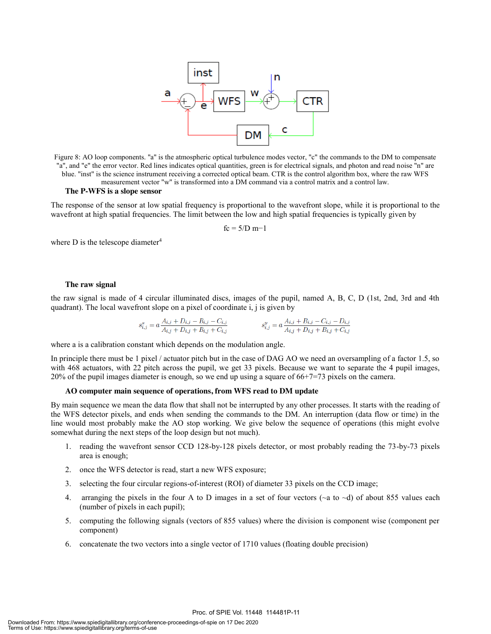

Figure 8: AO loop components. "a" is the atmospheric optical turbulence modes vector, "c" the commands to the DM to compensate "a", and "e" the error vector. Red lines indicates optical quantities, green is for electrical signals, and photon and read noise "n" are blue. "inst" is the science instrument receiving a corrected optical beam. CTR is the control algorithm box, where the raw WFS measurement vector "w" is transformed into a DM command via a control matrix and a control law.

#### **The P-WFS is a slope sensor**

The response of the sensor at low spatial frequency is proportional to the wavefront slope, while it is proportional to the wavefront at high spatial frequencies. The limit between the low and high spatial frequencies is typically given by

$$
fc = 5/D \; m - 1
$$

where  $D$  is the telescope diameter<sup>4</sup>

#### **The raw signal**

the raw signal is made of 4 circular illuminated discs, images of the pupil, named A, B, C, D (1st, 2nd, 3rd and 4th quadrant). The local wavefront slope on a pixel of coordinate i, j is given by

$$
s_{i,j}^x = a \frac{A_{i,j} + D_{i,j} - B_{i,j} - C_{i,j}}{A_{i,j} + D_{i,j} + B_{i,j} + C_{i,j}}
$$
  

$$
s_{i,j}^y = a \frac{A_{i,j} + B_{i,j} - C_{i,j} - D_{i,j}}{A_{i,j} + D_{i,j} + B_{i,j} + C_{i,j}}
$$

where a is a calibration constant which depends on the modulation angle.

In principle there must be 1 pixel / actuator pitch but in the case of DAG AO we need an oversampling of a factor 1.5, so with 468 actuators, with 22 pitch across the pupil, we get 33 pixels. Because we want to separate the 4 pupil images, 20% of the pupil images diameter is enough, so we end up using a square of 66+7=73 pixels on the camera.

#### **AO computer main sequence of operations, from WFS read to DM update**

By main sequence we mean the data flow that shall not be interrupted by any other processes. It starts with the reading of the WFS detector pixels, and ends when sending the commands to the DM. An interruption (data flow or time) in the line would most probably make the AO stop working. We give below the sequence of operations (this might evolve somewhat during the next steps of the loop design but not much).

- 1. reading the wavefront sensor CCD 128-by-128 pixels detector, or most probably reading the 73-by-73 pixels area is enough;
- 2. once the WFS detector is read, start a new WFS exposure;
- 3. selecting the four circular regions-of-interest (ROI) of diameter 33 pixels on the CCD image;
- 4. arranging the pixels in the four A to D images in a set of four vectors ( $\sim a$  to  $\sim d$ ) of about 855 values each (number of pixels in each pupil);
- 5. computing the following signals (vectors of 855 values) where the division is component wise (component per component)
- 6. concatenate the two vectors into a single vector of 1710 values (floating double precision)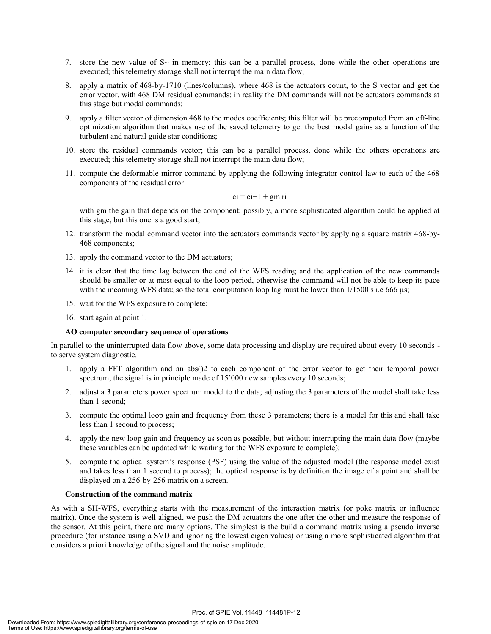- 7. store the new value of  $S<sub>\sim</sub>$  in memory; this can be a parallel process, done while the other operations are executed; this telemetry storage shall not interrupt the main data flow;
- 8. apply a matrix of 468-by-1710 (lines/columns), where 468 is the actuators count, to the S vector and get the error vector, with 468 DM residual commands; in reality the DM commands will not be actuators commands at this stage but modal commands;
- 9. apply a filter vector of dimension 468 to the modes coefficients; this filter will be precomputed from an off-line optimization algorithm that makes use of the saved telemetry to get the best modal gains as a function of the turbulent and natural guide star conditions;
- 10. store the residual commands vector; this can be a parallel process, done while the others operations are executed; this telemetry storage shall not interrupt the main data flow;
- 11. compute the deformable mirror command by applying the following integrator control law to each of the 468 components of the residual error

$$
ci = ci-1 + gm ri
$$

with gm the gain that depends on the component; possibly, a more sophisticated algorithm could be applied at this stage, but this one is a good start;

- 12. transform the modal command vector into the actuators commands vector by applying a square matrix 468-by-468 components;
- 13. apply the command vector to the DM actuators;
- 14. it is clear that the time lag between the end of the WFS reading and the application of the new commands should be smaller or at most equal to the loop period, otherwise the command will not be able to keep its pace with the incoming WFS data; so the total computation loop lag must be lower than  $1/1500$  s i.e 666 µs;
- 15. wait for the WFS exposure to complete;
- 16. start again at point 1.

#### **AO computer secondary sequence of operations**

In parallel to the uninterrupted data flow above, some data processing and display are required about every 10 seconds to serve system diagnostic.

- 1. apply a FFT algorithm and an abs()2 to each component of the error vector to get their temporal power spectrum; the signal is in principle made of 15'000 new samples every 10 seconds;
- 2. adjust a 3 parameters power spectrum model to the data; adjusting the 3 parameters of the model shall take less than 1 second;
- 3. compute the optimal loop gain and frequency from these 3 parameters; there is a model for this and shall take less than 1 second to process;
- 4. apply the new loop gain and frequency as soon as possible, but without interrupting the main data flow (maybe these variables can be updated while waiting for the WFS exposure to complete);
- 5. compute the optical system's response (PSF) using the value of the adjusted model (the response model exist and takes less than 1 second to process); the optical response is by definition the image of a point and shall be displayed on a 256-by-256 matrix on a screen.

#### **Construction of the command matrix**

As with a SH-WFS, everything starts with the measurement of the interaction matrix (or poke matrix or influence matrix). Once the system is well aligned, we push the DM actuators the one after the other and measure the response of the sensor. At this point, there are many options. The simplest is the build a command matrix using a pseudo inverse procedure (for instance using a SVD and ignoring the lowest eigen values) or using a more sophisticated algorithm that considers a priori knowledge of the signal and the noise amplitude.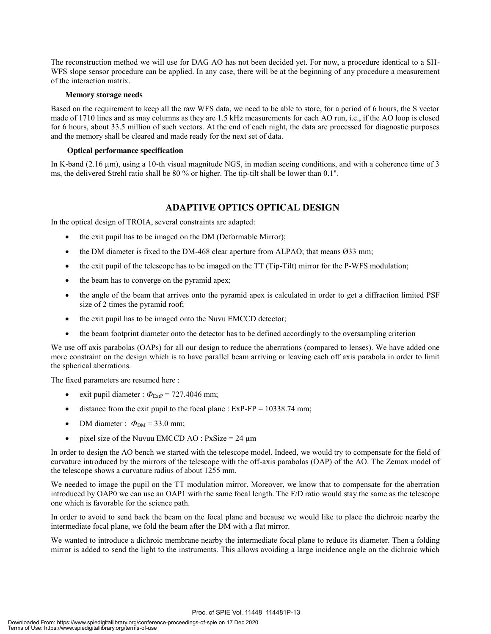The reconstruction method we will use for DAG AO has not been decided yet. For now, a procedure identical to a SH-WFS slope sensor procedure can be applied. In any case, there will be at the beginning of any procedure a measurement of the interaction matrix.

#### **Memory storage needs**

Based on the requirement to keep all the raw WFS data, we need to be able to store, for a period of 6 hours, the S vector made of 1710 lines and as may columns as they are 1.5 kHz measurements for each AO run, i.e., if the AO loop is closed for 6 hours, about 33.5 million of such vectors. At the end of each night, the data are processed for diagnostic purposes and the memory shall be cleared and made ready for the next set of data.

#### **Optical performance specification**

In K-band (2.16 µm), using a 10-th visual magnitude NGS, in median seeing conditions, and with a coherence time of 3 ms, the delivered Strehl ratio shall be 80 % or higher. The tip-tilt shall be lower than 0.1".

# **ADAPTIVE OPTICS OPTICAL DESIGN**

In the optical design of TROIA, several constraints are adapted:

- the exit pupil has to be imaged on the DM (Deformable Mirror);
- the DM diameter is fixed to the DM-468 clear aperture from ALPAO; that means  $\varnothing$ 33 mm;
- x the exit pupil of the telescope has to be imaged on the TT (Tip-Tilt) mirror for the P-WFS modulation;
- the beam has to converge on the pyramid apex;
- x the angle of the beam that arrives onto the pyramid apex is calculated in order to get a diffraction limited PSF size of 2 times the pyramid roof;
- the exit pupil has to be imaged onto the Nuvu EMCCD detector;
- the beam footprint diameter onto the detector has to be defined accordingly to the oversampling criterion

We use off axis parabolas (OAPs) for all our design to reduce the aberrations (compared to lenses). We have added one more constraint on the design which is to have parallel beam arriving or leaving each off axis parabola in order to limit the spherical aberrations.

The fixed parameters are resumed here :

- exit pupil diameter :  $\Phi_{\text{ExfP}} = 727.4046 \text{ mm}$ ;
- distance from the exit pupil to the focal plane :  $ExP-FP = 10338.74$  mm;
- DM diameter :  $\Phi_{DM} = 33.0$  mm;
- pixel size of the Nuvuu EMCCD AO :  $PxSize = 24 \mu m$

In order to design the AO bench we started with the telescope model. Indeed, we would try to compensate for the field of curvature introduced by the mirrors of the telescope with the off-axis parabolas (OAP) of the AO. The Zemax model of the telescope shows a curvature radius of about 1255 mm.

We needed to image the pupil on the TT modulation mirror. Moreover, we know that to compensate for the aberration introduced by OAP0 we can use an OAP1 with the same focal length. The F/D ratio would stay the same as the telescope one which is favorable for the science path.

In order to avoid to send back the beam on the focal plane and because we would like to place the dichroic nearby the intermediate focal plane, we fold the beam after the DM with a flat mirror.

We wanted to introduce a dichroic membrane nearby the intermediate focal plane to reduce its diameter. Then a folding mirror is added to send the light to the instruments. This allows avoiding a large incidence angle on the dichroic which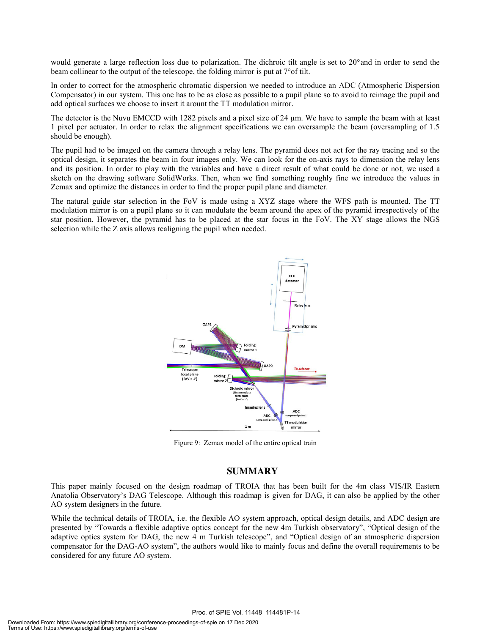would generate a large reflection loss due to polarization. The dichroic tilt angle is set to 20°and in order to send the beam collinear to the output of the telescope, the folding mirror is put at 7°of tilt.

In order to correct for the atmospheric chromatic dispersion we needed to introduce an ADC (Atmospheric Dispersion Compensator) in our system. This one has to be as close as possible to a pupil plane so to avoid to reimage the pupil and add optical surfaces we choose to insert it arount the TT modulation mirror.

The detector is the Nuvu EMCCD with 1282 pixels and a pixel size of 24  $\mu$ m. We have to sample the beam with at least 1 pixel per actuator. In order to relax the alignment specifications we can oversample the beam (oversampling of 1.5 should be enough).

The pupil had to be imaged on the camera through a relay lens. The pyramid does not act for the ray tracing and so the optical design, it separates the beam in four images only. We can look for the on-axis rays to dimension the relay lens and its position. In order to play with the variables and have a direct result of what could be done or not, we used a sketch on the drawing software SolidWorks. Then, when we find something roughly fine we introduce the values in Zemax and optimize the distances in order to find the proper pupil plane and diameter.

The natural guide star selection in the FoV is made using a XYZ stage where the WFS path is mounted. The TT modulation mirror is on a pupil plane so it can modulate the beam around the apex of the pyramid irrespectively of the star position. However, the pyramid has to be placed at the star focus in the FoV. The XY stage allows the NGS selection while the Z axis allows realigning the pupil when needed.



Figure 9: Zemax model of the entire optical train

## **SUMMARY**

This paper mainly focused on the design roadmap of TROIA that has been built for the 4m class VIS/IR Eastern Anatolia Observatory's DAG Telescope. Although this roadmap is given for DAG, it can also be applied by the other AO system designers in the future.

While the technical details of TROIA, i.e. the flexible AO system approach, optical design details, and ADC design are presented by "Towards a flexible adaptive optics concept for the new 4m Turkish observatory", "Optical design of the adaptive optics system for DAG, the new 4 m Turkish telescope", and "Optical design of an atmospheric dispersion compensator for the DAG-AO system", the authors would like to mainly focus and define the overall requirements to be considered for any future AO system.